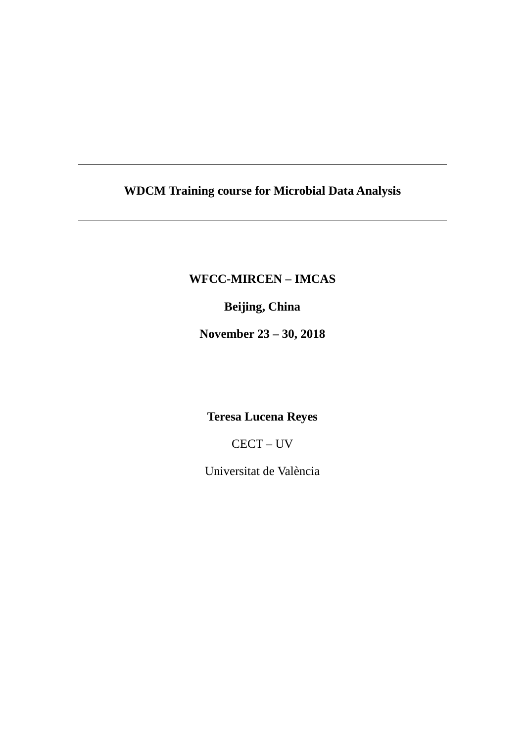# **WDCM Training course for Microbial Data Analysis**

### **WFCC-MIRCEN – IMCAS**

## **Beijing, China**

**November 23 – 30, 2018**

# **Teresa Lucena Reyes**

CECT – UV

Universitat de València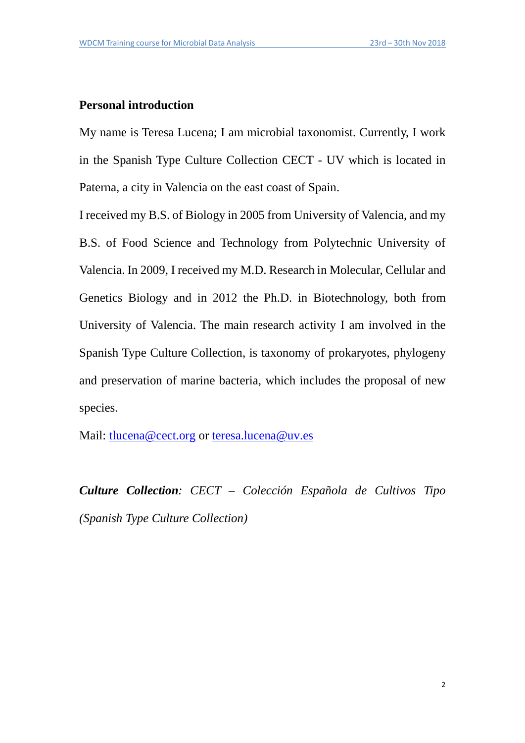#### **Personal introduction**

My name is Teresa Lucena; I am microbial taxonomist. Currently, I work in the Spanish Type Culture Collection CECT - UV which is located in Paterna, a city in Valencia on the east coast of Spain.

I received my B.S. of Biology in 2005 from University of Valencia, and my B.S. of Food Science and Technology from Polytechnic University of Valencia. In 2009, I received my M.D. Research in Molecular, Cellular and Genetics Biology and in 2012 the Ph.D. in Biotechnology, both from University of Valencia. The main research activity I am involved in the Spanish Type Culture Collection, is taxonomy of prokaryotes, phylogeny and preservation of marine bacteria, which includes the proposal of new species.

Mail: [tlucena@cect.org](mailto:tlucena@cect.org) or [teresa.lucena@uv.es](mailto:teresa.lucena@uv.es)

*Culture Collection: CECT – Colección Española de Cultivos Tipo (Spanish Type Culture Collection)*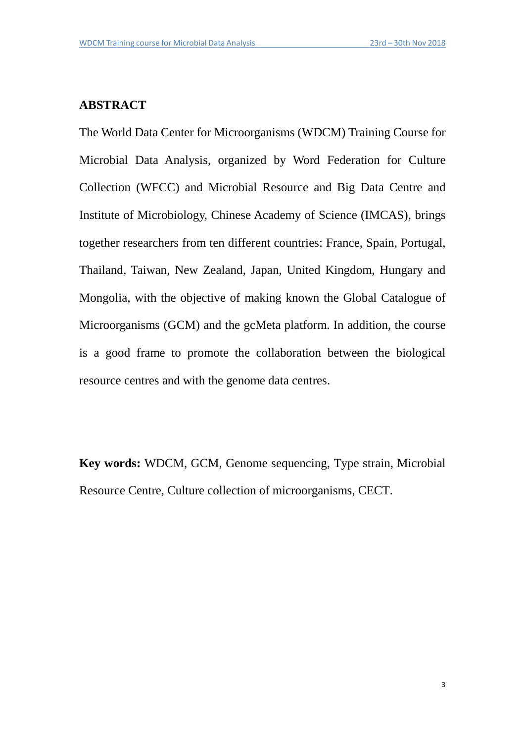### **ABSTRACT**

The World Data Center for Microorganisms (WDCM) Training Course for Microbial Data Analysis, organized by Word Federation for Culture Collection (WFCC) and Microbial Resource and Big Data Centre and Institute of Microbiology, Chinese Academy of Science (IMCAS), brings together researchers from ten different countries: France, Spain, Portugal, Thailand, Taiwan, New Zealand, Japan, United Kingdom, Hungary and Mongolia, with the objective of making known the Global Catalogue of Microorganisms (GCM) and the gcMeta platform. In addition, the course is a good frame to promote the collaboration between the biological resource centres and with the genome data centres.

**Key words:** WDCM, GCM, Genome sequencing, Type strain, Microbial Resource Centre, Culture collection of microorganisms, CECT.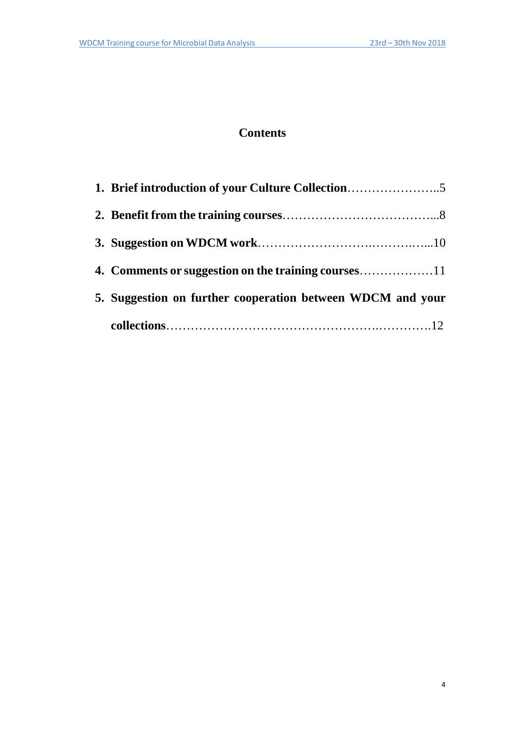### **Contents**

| 1. Brief introduction of your Culture Collection           |
|------------------------------------------------------------|
|                                                            |
|                                                            |
|                                                            |
| 5. Suggestion on further cooperation between WDCM and your |
|                                                            |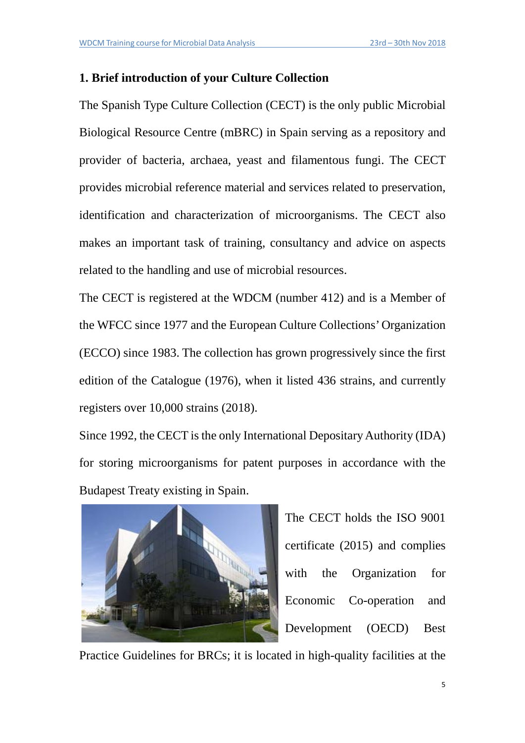### **1. Brief introduction of your Culture Collection**

The Spanish Type Culture Collection (CECT) is the only public Microbial Biological Resource Centre (mBRC) in Spain serving as a repository and provider of bacteria, archaea, yeast and filamentous fungi. The CECT provides microbial reference material and services related to preservation, identification and characterization of microorganisms. The CECT also makes an important task of training, consultancy and advice on aspects related to the handling and use of microbial resources.

The CECT is registered at the WDCM (number 412) and is a Member of the WFCC since 1977 and the European Culture Collections' Organization (ECCO) since 1983. The collection has grown progressively since the first edition of the Catalogue (1976), when it listed 436 strains, and currently registers over 10,000 strains (2018).

Since 1992, the CECT is the only International Depositary Authority (IDA) for storing microorganisms for patent purposes in accordance with the [Budapest Treaty](http://www.wipo.int/about-ip/en/budapest/guide/index.htm) existing in Spain.



The CECT holds the ISO 9001 certificate (2015) and complies with the Organization for Economic Co-operation and Development (OECD) Best

Practice Guidelines for BRCs; it is located in high-quality facilities at the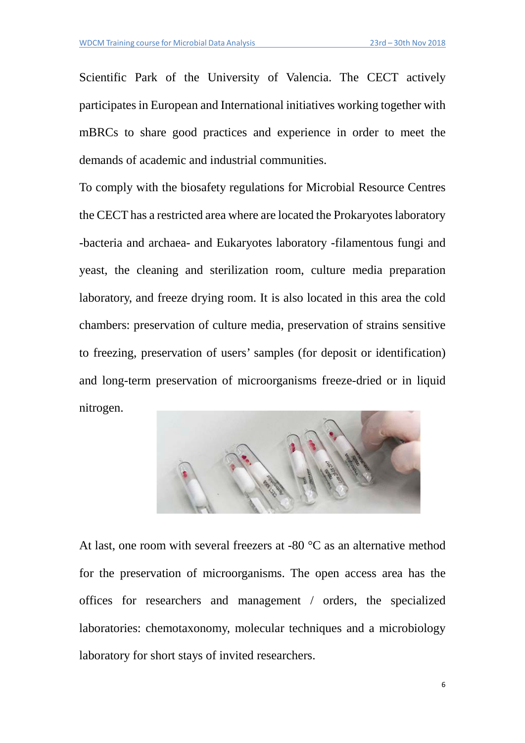Scientific Park of the University of Valencia. The CECT actively participates in European and International initiatives working together with mBRCs to share good practices and experience in order to meet the demands of academic and industrial communities.

To comply with the biosafety regulations for Microbial Resource Centres the CECT has a restricted area where are located the Prokaryotes laboratory -bacteria and archaea- and Eukaryotes laboratory -filamentous fungi and yeast, the cleaning and sterilization room, culture media preparation laboratory, and freeze drying room. It is also located in this area the cold chambers: preservation of culture media, preservation of strains sensitive to freezing, preservation of users' samples (for deposit or identification) and long-term preservation of microorganisms freeze-dried or in liquid nitrogen.



At last, one room with several freezers at -80 °C as an alternative method for the preservation of microorganisms. The open access area has the offices for researchers and management / orders, the specialized laboratories: chemotaxonomy, molecular techniques and a microbiology laboratory for short stays of invited researchers.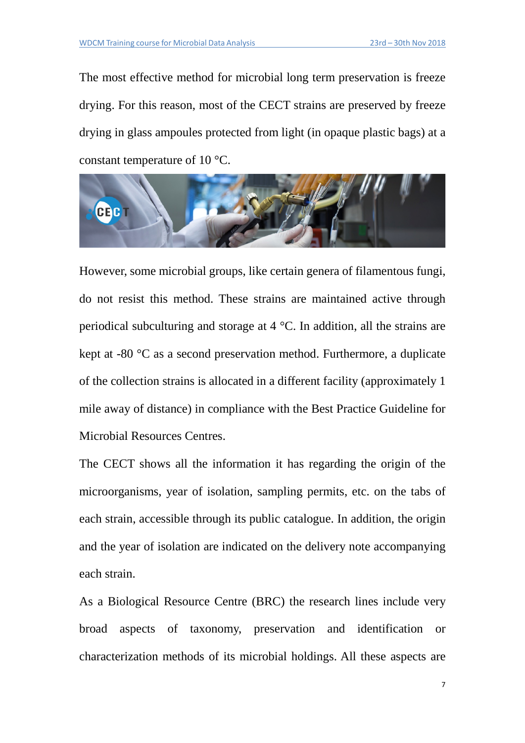The most effective method for microbial long term preservation is freeze drying. For this reason, most of the CECT strains are preserved by freeze drying in glass ampoules protected from light (in opaque plastic bags) at a constant temperature of 10 °C.



However, some microbial groups, like certain genera of filamentous fungi, do not resist this method. These strains are maintained active through periodical subculturing and storage at 4 °C. In addition, all the strains are kept at -80 °C as a second preservation method. Furthermore, a duplicate of the collection strains is allocated in a different facility (approximately 1 mile away of distance) in compliance with the Best Practice Guideline for Microbial Resources Centres.

The CECT shows all the information it has regarding the origin of the microorganisms, year of isolation, sampling permits, etc. on the tabs of each strain, accessible through its public catalogue. In addition, the origin and the year of isolation are indicated on the delivery note accompanying each strain.

As a Biological Resource Centre (BRC) the research lines include very broad aspects of taxonomy, preservation and identification or characterization methods of its microbial holdings. All these aspects are

7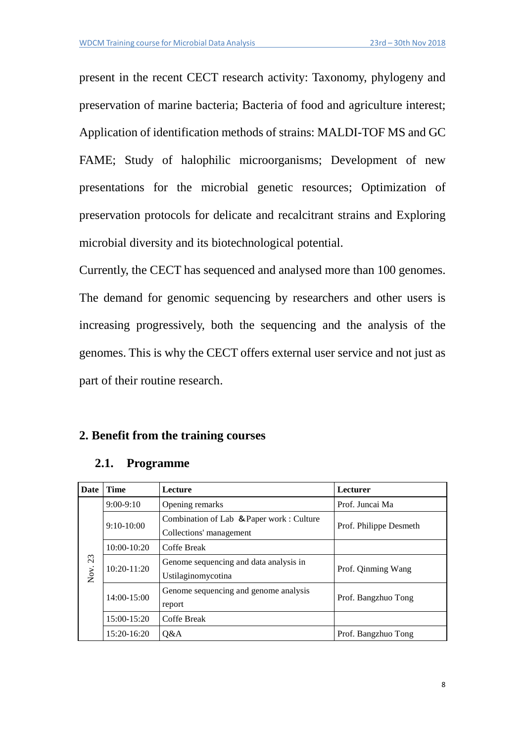present in the recent CECT research activity: Taxonomy, phylogeny and preservation of marine bacteria; Bacteria of food and agriculture interest; Application of identification methods of strains: MALDI-TOF MS and GC FAME; Study of halophilic microorganisms; Development of new presentations for the microbial genetic resources; Optimization of preservation protocols for delicate and recalcitrant strains and Exploring microbial diversity and its biotechnological potential.

Currently, the CECT has sequenced and analysed more than 100 genomes. The demand for genomic sequencing by researchers and other users is increasing progressively, both the sequencing and the analysis of the genomes. This is why the CECT offers external user service and not just as part of their routine research.

#### **2. Benefit from the training courses**

| Date       | <b>Time</b>     | Lecture                                                             | <b>Lecturer</b>        |
|------------|-----------------|---------------------------------------------------------------------|------------------------|
|            | $9:00-9:10$     | Opening remarks                                                     | Prof. Juncai Ma        |
|            | $9:10-10:00$    | Combination of Lab & Paper work: Culture<br>Collections' management | Prof. Philippe Desmeth |
|            | $10:00 - 10:20$ | Coffe Break                                                         |                        |
| 23<br>Nov. | $10:20 - 11:20$ | Genome sequencing and data analysis in<br>Ustilaginomycotina        | Prof. Qinming Wang     |
|            | 14:00-15:00     | Genome sequencing and genome analysis<br>report                     | Prof. Bangzhuo Tong    |
|            | 15:00-15:20     | Coffe Break                                                         |                        |
|            | 15:20-16:20     | 0&A                                                                 | Prof. Bangzhuo Tong    |

#### **2.1. Programme**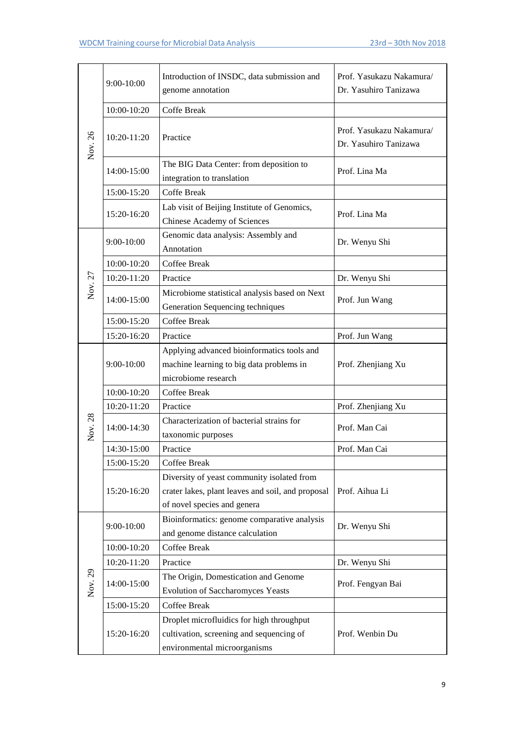|         | 9:00-10:00  | Introduction of INSDC, data submission and<br>genome annotation                                                                | Prof. Yasukazu Nakamura/<br>Dr. Yasuhiro Tanizawa |
|---------|-------------|--------------------------------------------------------------------------------------------------------------------------------|---------------------------------------------------|
|         | 10:00-10:20 | <b>Coffe Break</b>                                                                                                             |                                                   |
| Nov. 26 | 10:20-11:20 | Practice                                                                                                                       | Prof. Yasukazu Nakamura/<br>Dr. Yasuhiro Tanizawa |
|         | 14:00-15:00 | The BIG Data Center: from deposition to<br>integration to translation                                                          | Prof. Lina Ma                                     |
|         | 15:00-15:20 | Coffe Break                                                                                                                    |                                                   |
|         | 15:20-16:20 | Lab visit of Beijing Institute of Genomics,<br>Chinese Academy of Sciences                                                     | Prof. Lina Ma                                     |
|         | 9:00-10:00  | Genomic data analysis: Assembly and<br>Annotation                                                                              | Dr. Wenyu Shi                                     |
|         | 10:00-10:20 | <b>Coffee Break</b>                                                                                                            |                                                   |
|         | 10:20-11:20 | Practice                                                                                                                       | Dr. Wenyu Shi                                     |
| Nov. 27 | 14:00-15:00 | Microbiome statistical analysis based on Next<br>Generation Sequencing techniques                                              | Prof. Jun Wang                                    |
|         | 15:00-15:20 | Coffee Break                                                                                                                   |                                                   |
|         | 15:20-16:20 | Practice                                                                                                                       | Prof. Jun Wang                                    |
|         | 9:00-10:00  | Applying advanced bioinformatics tools and<br>machine learning to big data problems in<br>microbiome research                  | Prof. Zhenjiang Xu                                |
|         | 10:00-10:20 | Coffee Break                                                                                                                   |                                                   |
|         | 10:20-11:20 | Practice                                                                                                                       | Prof. Zhenjiang Xu                                |
| Nov. 28 | 14:00-14:30 | Characterization of bacterial strains for<br>taxonomic purposes                                                                | Prof. Man Cai                                     |
|         | 14:30-15:00 | Practice                                                                                                                       | Prof. Man Cai                                     |
|         | 15:00-15:20 | Coffee Break                                                                                                                   |                                                   |
|         | 15:20-16:20 | Diversity of yeast community isolated from<br>crater lakes, plant leaves and soil, and proposal<br>of novel species and genera | Prof. Aihua Li                                    |
|         | 9:00-10:00  | Bioinformatics: genome comparative analysis<br>and genome distance calculation                                                 | Dr. Wenyu Shi                                     |
|         | 10:00-10:20 | Coffee Break                                                                                                                   |                                                   |
|         | 10:20-11:20 | Practice                                                                                                                       | Dr. Wenyu Shi                                     |
| Nov. 29 | 14:00-15:00 | The Origin, Domestication and Genome<br><b>Evolution of Saccharomyces Yeasts</b>                                               | Prof. Fengyan Bai                                 |
|         | 15:00-15:20 | Coffee Break                                                                                                                   |                                                   |
|         | 15:20-16:20 | Droplet microfluidics for high throughput<br>cultivation, screening and sequencing of<br>environmental microorganisms          | Prof. Wenbin Du                                   |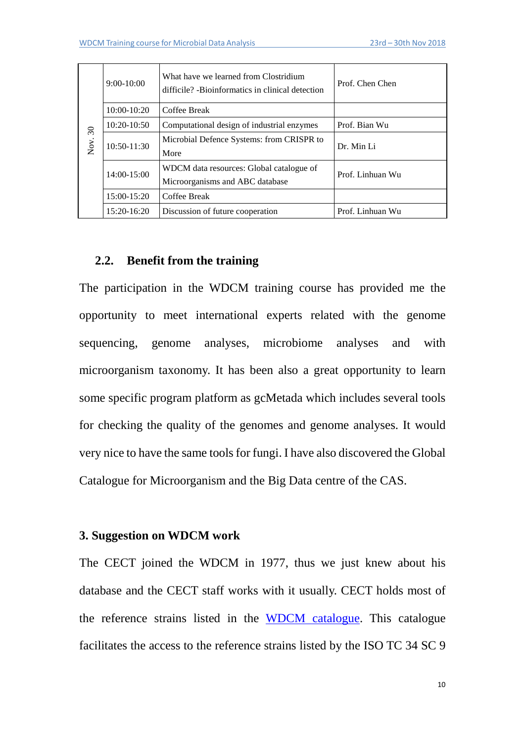| $\Im$ | $9:00-10:00$    | What have we learned from Clostridium<br>difficile? -Bioinformatics in clinical detection | Prof. Chen Chen  |
|-------|-----------------|-------------------------------------------------------------------------------------------|------------------|
|       | $10:00 - 10:20$ | Coffee Break                                                                              |                  |
|       | $10:20-10:50$   | Computational design of industrial enzymes                                                | Prof. Bian Wu    |
| Nov.  | 10:50-11:30     | Microbial Defence Systems: from CRISPR to<br>More                                         | Dr. Min Li       |
|       | 14:00-15:00     | WDCM data resources: Global catalogue of<br>Microorganisms and ABC database               | Prof. Linhuan Wu |
|       | 15:00-15:20     | Coffee Break                                                                              |                  |
|       | 15:20-16:20     | Discussion of future cooperation                                                          | Prof. Linhuan Wu |

#### **2.2. Benefit from the training**

The participation in the WDCM training course has provided me the opportunity to meet international experts related with the genome sequencing, genome analyses, microbiome analyses and with microorganism taxonomy. It has been also a great opportunity to learn some specific program platform as gcMetada which includes several tools for checking the quality of the genomes and genome analyses. It would very nice to have the same tools for fungi. I have also discovered the Global Catalogue for Microorganism and the Big Data centre of the CAS.

#### **3. Suggestion on WDCM work**

The CECT joined the WDCM in 1977, thus we just knew about his database and the CECT staff works with it usually. CECT holds most of the reference strains listed in the [WDCM catalogue.](http://refs.wdcm.org/home.htm) This catalogue facilitates the access to the reference strains listed by the ISO TC 34 SC 9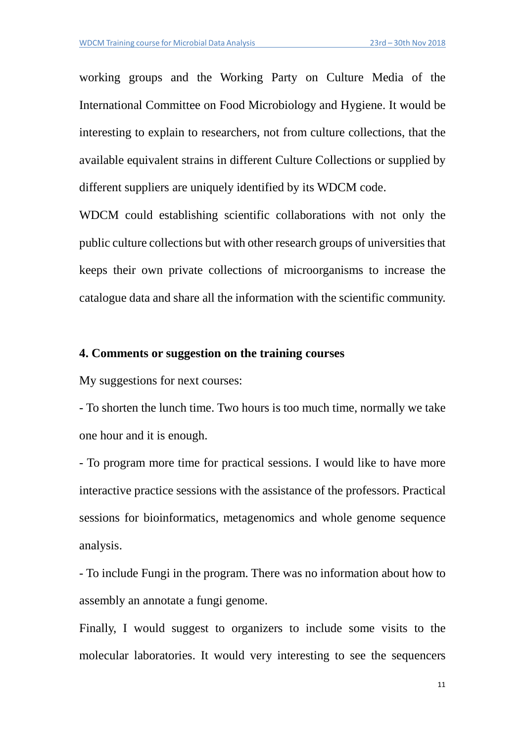working groups and the Working Party on Culture Media of the International Committee on Food Microbiology and Hygiene. It would be interesting to explain to researchers, not from culture collections, that the available equivalent strains in different Culture Collections or supplied by different suppliers are uniquely identified by its WDCM code.

WDCM could establishing scientific collaborations with not only the public culture collections but with other research groups of universities that keeps their own private collections of microorganisms to increase the catalogue data and share all the information with the scientific community.

#### **4. Comments or suggestion on the training courses**

My suggestions for next courses:

- To shorten the lunch time. Two hours is too much time, normally we take one hour and it is enough.

- To program more time for practical sessions. I would like to have more interactive practice sessions with the assistance of the professors. Practical sessions for bioinformatics, metagenomics and whole genome sequence analysis.

- To include Fungi in the program. There was no information about how to assembly an annotate a fungi genome.

Finally, I would suggest to organizers to include some visits to the molecular laboratories. It would very interesting to see the sequencers

11